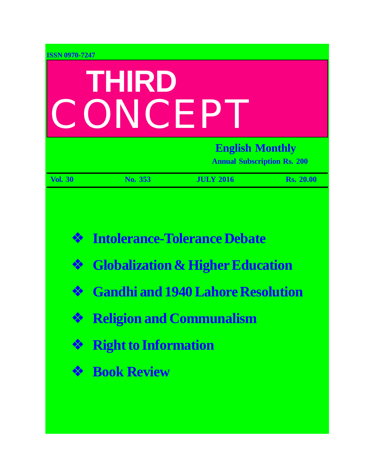| <b>ISSN 0970-7247</b>             |                                                                                                |                                                                                                                                |                  |  |
|-----------------------------------|------------------------------------------------------------------------------------------------|--------------------------------------------------------------------------------------------------------------------------------|------------------|--|
| <b>THIRD</b><br>CONCEPT           |                                                                                                |                                                                                                                                |                  |  |
|                                   | <b>English Monthly</b><br><b>Annual Subscription Rs. 200</b>                                   |                                                                                                                                |                  |  |
| <b>Vol. 30</b>                    | No. 353                                                                                        | <b>JULY 2016</b>                                                                                                               | <b>Rs. 20.00</b> |  |
| $\frac{1}{2}$<br>❖<br>❖<br>❖<br>參 | <b>Example 2 Religion and Communalism</b><br><b>Right to Information</b><br><b>Book Review</b> | <b>Intolerance-Tolerance Debate</b><br><b>Globalization &amp; Higher Education</b><br><b>Gandhi and 1940 Lahore Resolution</b> |                  |  |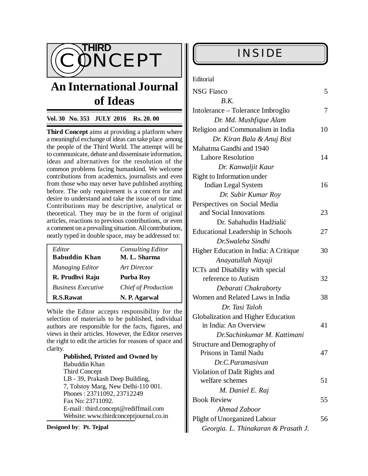

# **An International Journal of Ideas**

### **Vol. 30 No. 353 JULY 2016 Rs. 20. 00**

**Third Concept** aims at providing a platform where a meaningful exchange of ideas can take place among the people of the Third World. The attempt will be to communicate, debate and disseminate information, ideas and alternatives for the resolution of the common problems facing humankind. We welcome contributions from academics, journalists and even from those who may never have published anything before. The only requirement is a concern for and desire to understand and take the issue of our time. Contributions may be descriptive, analytical or theoretical. They may be in the form of original articles, reactions to previous contributions, or even a comment on a prevailing situation. All contributions, neatly typed in double space, may be addressed to:

| Editor                    | <b>Consulting Editor</b>   |
|---------------------------|----------------------------|
| <b>Babuddin Khan</b>      | M. L. Sharma               |
| <b>Managing Editor</b>    | Art Director               |
| R. Prudhvi Raju           | Purba Roy                  |
| <b>Business Executive</b> | <b>Chief of Production</b> |
| <b>R.S.Rawat</b>          | N. P. Agarwal              |

While the Editor accepts responsibility for the selection of materials to be published, individual authors are responsible for the facts, figures, and views in their articles. However, the Editor reserves the right to edit the articles for reasons of space and clarity.

**Published, Printed and Owned by** Babuddin Khan Third Concept LB - 39, Prakash Deep Building, 7, Tolstoy Marg, New Delhi-110 001. Phones : 23711092, 23712249 Fax No: 23711092. E-mail : [third.concept@rediffmail.com](mailto:third.concept@rediffmail.com) Website: [www.thirdconceptjournal.co.in](http://www.thirdconceptjournal.co.in)

**Designed by**: **Pt. Tejpal**

| Editorial |
|-----------|
|-----------|

| <b>NSG Fiasco</b><br>B.K.                           | 5  |
|-----------------------------------------------------|----|
| Intolerance - Tolerance Imbroglio                   | 7  |
| Dr. Md. Mushfique Alam                              |    |
|                                                     |    |
| Religion and Communalism in India                   | 10 |
| Dr. Kiran Bala & Anuj Bist                          |    |
| Mahatma Gandhi and 1940<br><b>Lahore Resolution</b> | 14 |
|                                                     |    |
| Dr. Kanwaljit Kaur                                  |    |
| Right to Information under                          | 16 |
| <b>Indian Legal System</b>                          |    |
| Dr. Subir Kumar Roy                                 |    |
| Perspectives on Social Media                        |    |
| and Social Innovations                              | 23 |
| Dr. Sabahudin Hadžialić                             |    |
| <b>Educational Leadership in Schools</b>            | 27 |
| Dr. Swaleha Sindhi                                  |    |
| Higher Education in India: A Critique               | 30 |
| Anayatullah Nayaji                                  |    |
| ICTs and Disability with special                    |    |
| reference to Autism                                 | 32 |
| Debarati Chakraborty                                |    |
| Women and Related Laws in India                     | 38 |
| Dr. Tasi Taloh                                      |    |
| Globalization and Higher Education                  |    |
| in India: An Overview                               | 41 |
| Dr.Sachinkumar M. Kattimani                         |    |
| Structure and Demography of                         |    |
| Prisons in Tamil Nadu                               | 47 |
| Dr.C.Paramasivan                                    |    |
| Violation of Dalit Rights and                       |    |
| welfare schemes                                     | 51 |
| M. Daniel E. Raj                                    |    |
| <b>Book Review</b>                                  | 55 |
| Ahmad Zaboor                                        |    |
| <b>Plight of Unorganized Labour</b>                 | 56 |
| Georgia. L. Thinakaran & Prasath J.                 |    |